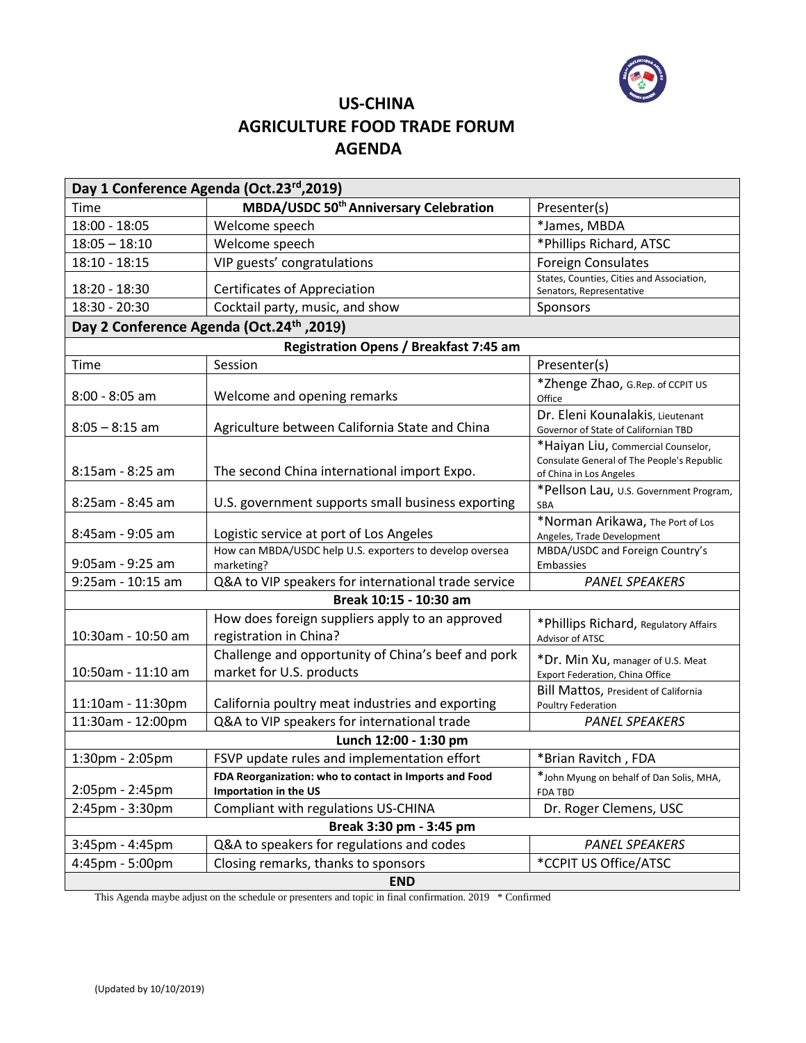

# **US-CHINA AGRICULTURE FOOD TRADE FORUM AGENDA**

| Day 1 Conference Agenda (Oct.23rd, 2019)              |                                                                                 |                                                                            |  |  |
|-------------------------------------------------------|---------------------------------------------------------------------------------|----------------------------------------------------------------------------|--|--|
| Time                                                  | <b>MBDA/USDC 50<sup>th</sup> Anniversary Celebration</b>                        | Presenter(s)                                                               |  |  |
| 18:00 - 18:05                                         | Welcome speech                                                                  | *James, MBDA                                                               |  |  |
| $18:05 - 18:10$                                       | Welcome speech                                                                  | *Phillips Richard, ATSC                                                    |  |  |
| $18:10 - 18:15$                                       | VIP guests' congratulations                                                     | <b>Foreign Consulates</b>                                                  |  |  |
| 18:20 - 18:30                                         | <b>Certificates of Appreciation</b>                                             | States, Counties, Cities and Association,                                  |  |  |
| 18:30 - 20:30                                         | Cocktail party, music, and show                                                 | Senators, Representative                                                   |  |  |
| Sponsors                                              |                                                                                 |                                                                            |  |  |
| Day 2 Conference Agenda (Oct.24 <sup>th</sup> , 2019) |                                                                                 |                                                                            |  |  |
|                                                       | Registration Opens / Breakfast 7:45 am<br>Session                               | Presenter(s)                                                               |  |  |
| Time                                                  |                                                                                 |                                                                            |  |  |
| 8:00 - 8:05 am                                        | Welcome and opening remarks                                                     | *Zhenge Zhao, G.Rep. of CCPIT US<br>Office                                 |  |  |
| $8:05 - 8:15$ am                                      | Agriculture between California State and China                                  | Dr. Eleni Kounalakis, Lieutenant                                           |  |  |
|                                                       |                                                                                 | Governor of State of Californian TBD<br>*Haiyan Liu, Commercial Counselor, |  |  |
|                                                       |                                                                                 | Consulate General of The People's Republic                                 |  |  |
| 8:15am - 8:25 am                                      | The second China international import Expo.                                     | of China in Los Angeles                                                    |  |  |
| 8:25am - 8:45 am                                      | U.S. government supports small business exporting                               | *Pellson Lau, U.S. Government Program,                                     |  |  |
|                                                       |                                                                                 | <b>SBA</b>                                                                 |  |  |
| 8:45am - 9:05 am                                      | Logistic service at port of Los Angeles                                         | *Norman Arikawa, The Port of Los<br>Angeles, Trade Development             |  |  |
| 9:05am - 9:25 am                                      | How can MBDA/USDC help U.S. exporters to develop oversea<br>marketing?          | MBDA/USDC and Foreign Country's<br>Embassies                               |  |  |
| 9:25am - 10:15 am                                     | Q&A to VIP speakers for international trade service                             | <b>PANEL SPEAKERS</b>                                                      |  |  |
| Break 10:15 - 10:30 am                                |                                                                                 |                                                                            |  |  |
| How does foreign suppliers apply to an approved       |                                                                                 |                                                                            |  |  |
| 10:30am - 10:50 am                                    | registration in China?                                                          | *Phillips Richard, Regulatory Affairs<br>Advisor of ATSC                   |  |  |
|                                                       | Challenge and opportunity of China's beef and pork                              | *Dr. Min Xu, manager of U.S. Meat                                          |  |  |
| 10:50am - 11:10 am                                    | market for U.S. products                                                        | Export Federation, China Office                                            |  |  |
|                                                       |                                                                                 | Bill Mattos, President of California                                       |  |  |
| 11:10am - 11:30pm                                     | California poultry meat industries and exporting                                | Poultry Federation                                                         |  |  |
| 11:30am - 12:00pm                                     | Q&A to VIP speakers for international trade                                     | <b>PANEL SPEAKERS</b>                                                      |  |  |
|                                                       | Lunch 12:00 - 1:30 pm                                                           |                                                                            |  |  |
| 1:30pm - 2:05pm                                       | FSVP update rules and implementation effort                                     | *Brian Ravitch, FDA                                                        |  |  |
| 2:05pm - 2:45pm                                       | FDA Reorganization: who to contact in Imports and Food<br>Importation in the US | *John Myung on behalf of Dan Solis, MHA,<br>FDA TBD                        |  |  |
| 2:45pm - 3:30pm                                       | Compliant with regulations US-CHINA                                             | Dr. Roger Clemens, USC                                                     |  |  |
| Break 3:30 pm - 3:45 pm                               |                                                                                 |                                                                            |  |  |
| $3:45$ pm - $4:45$ pm                                 | Q&A to speakers for regulations and codes                                       | <b>PANEL SPEAKERS</b>                                                      |  |  |
| 4:45pm - 5:00pm                                       | Closing remarks, thanks to sponsors                                             | *CCPIT US Office/ATSC                                                      |  |  |
| <b>END</b>                                            |                                                                                 |                                                                            |  |  |

This Agenda maybe adjust on the schedule or presenters and topic in final confirmation. 2019 \* Confirmed